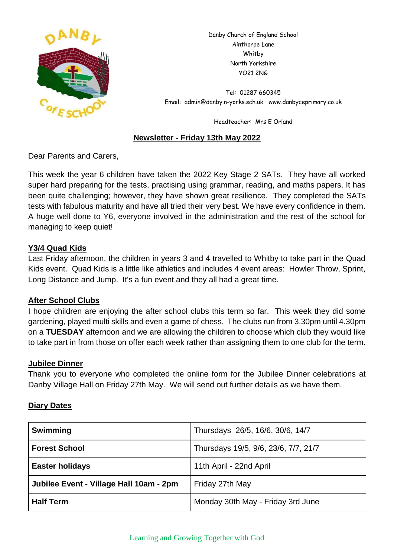

Danby Church of England School Ainthorpe Lane Whitby North Yorkshire YO21 2NG

Tel: 01287 660345 Email: admin@danby.n-yorks.sch.uk www.danbyceprimary.co.uk

Headteacher: Mrs E Orland

# **Newsletter - Friday 13th May 2022**

Dear Parents and Carers,

This week the year 6 children have taken the 2022 Key Stage 2 SATs. They have all worked super hard preparing for the tests, practising using grammar, reading, and maths papers. It has been quite challenging; however, they have shown great resilience. They completed the SATs tests with fabulous maturity and have all tried their very best. We have every confidence in them. A huge well done to Y6, everyone involved in the administration and the rest of the school for managing to keep quiet!

# **Y3/4 Quad Kids**

Last Friday afternoon, the children in years 3 and 4 travelled to Whitby to take part in the Quad Kids event. Quad Kids is a little like athletics and includes 4 event areas: Howler Throw, Sprint, Long Distance and Jump. It's a fun event and they all had a great time.

#### **After School Clubs**

I hope children are enjoying the after school clubs this term so far. This week they did some gardening, played multi skills and even a game of chess. The clubs run from 3.30pm until 4.30pm on a **TUESDAY** afternoon and we are allowing the children to choose which club they would like to take part in from those on offer each week rather than assigning them to one club for the term.

#### **Jubilee Dinner**

Thank you to everyone who completed the online form for the Jubilee Dinner celebrations at Danby Village Hall on Friday 27th May. We will send out further details as we have them.

# **Diary Dates**

| <b>Swimming</b>                         | Thursdays 26/5, 16/6, 30/6, 14/7     |
|-----------------------------------------|--------------------------------------|
| <b>Forest School</b>                    | Thursdays 19/5, 9/6, 23/6, 7/7, 21/7 |
| <b>Easter holidays</b>                  | 11th April - 22nd April              |
| Jubilee Event - Village Hall 10am - 2pm | Friday 27th May                      |
| <b>Half Term</b>                        | Monday 30th May - Friday 3rd June    |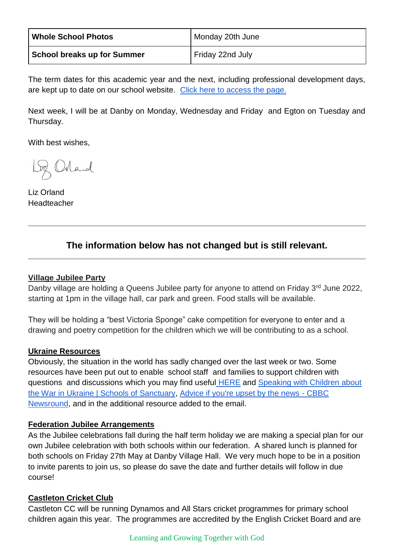| <b>Whole School Photos</b>  | Monday 20th June |
|-----------------------------|------------------|
| School breaks up for Summer | Friday 22nd July |

The term dates for this academic year and the next, including professional development days, are kept up to date on our school website. [Click here to access the page.](https://www.danbyceprimary.co.uk/information-and-newsletters/term-dates/)

Next week, I will be at Danby on Monday, Wednesday and Friday and Egton on Tuesday and Thursday.

With best wishes,

Loz Orland

Liz Orland Headteacher

# **The information below has not changed but is still relevant.**

# **Village Jubilee Party**

Danby village are holding a Queens Jubilee party for anyone to attend on Friday 3rd June 2022, starting at 1pm in the village hall, car park and green. Food stalls will be available.

They will be holding a "best Victoria Sponge" cake competition for everyone to enter and a drawing and poetry competition for the children which we will be contributing to as a school.

#### **Ukraine Resources**

Obviously, the situation in the world has sadly changed over the last week or two. Some resources have been put out to enable school staff and families to support children with questions and discussions which you may find useful [HERE](https://educationhub.blog.gov.uk/2022/02/25/help-for-teachers-and-families-to-talk-to-pupils-about-russias-invasion-of-ukraine-and-how-to-help-them-avoid-misinformation/) and [Speaking with Children about](https://schools.cityofsanctuary.org/2022/02/28/speaking-with-children-about-the-war-in-ukraine)  [the War in Ukraine | Schools of Sanctuary,](https://schools.cityofsanctuary.org/2022/02/28/speaking-with-children-about-the-war-in-ukraine) [Advice if you're upset by the news -](https://www.bbc.co.uk/newsround/13865002) CBBC [Newsround,](https://www.bbc.co.uk/newsround/13865002) and in the additional resource added to the email.

#### **Federation Jubilee Arrangements**

As the Jubilee celebrations fall during the half term holiday we are making a special plan for our own Jubilee celebration with both schools within our federation. A shared lunch is planned for both schools on Friday 27th May at Danby Village Hall. We very much hope to be in a position to invite parents to join us, so please do save the date and further details will follow in due course!

# **Castleton Cricket Club**

Castleton CC will be running Dynamos and All Stars cricket programmes for primary school children again this year. The programmes are accredited by the English Cricket Board and are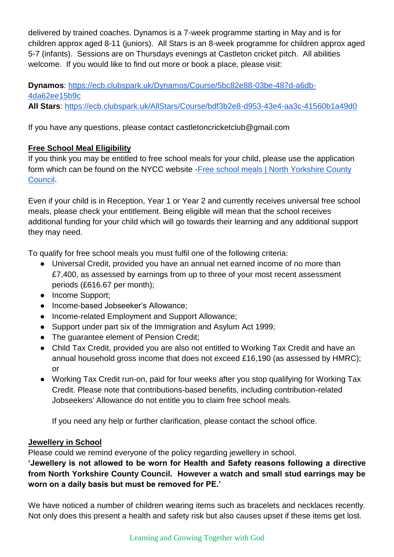delivered by trained coaches. Dynamos is a 7-week programme starting in May and is for children approx aged 8-11 (juniors). All Stars is an 8-week programme for children approx aged 5-7 (infants). Sessions are on Thursdays evenings at Castleton cricket pitch. All abilities welcome. If you would like to find out more or book a place, please visit:

**Dynamos**: [https://ecb.clubspark.uk/Dynamos/Course/5bc82e88-03be-487d-a6db-](https://ecb.clubspark.uk/Dynamos/Course/5bc82e88-03be-487d-a6db-4da62ee15b9c)[4da62ee15b9c](https://ecb.clubspark.uk/Dynamos/Course/5bc82e88-03be-487d-a6db-4da62ee15b9c) **All Stars**:<https://ecb.clubspark.uk/AllStars/Course/bdf3b2e8-d953-43e4-aa3c-41560b1a49d0>

If you have any questions, please contact castletoncricketclub@gmail.com

# **Free School Meal Eligibility**

If you think you may be entitled to free school meals for your child, please use the application form which can be found on the NYCC website [-Free school meals | North Yorkshire County](https://www.northyorks.gov.uk/free-school-meals)  [Council.](https://www.northyorks.gov.uk/free-school-meals)

Even if your child is in Reception, Year 1 or Year 2 and currently receives universal free school meals, please check your entitlement. Being eligible will mean that the school receives additional funding for your child which will go towards their learning and any additional support they may need.

To qualify for free school meals you must fulfil one of the following criteria:

- Universal Credit, provided you have an annual net earned income of no more than £7,400, as assessed by earnings from up to three of your most recent assessment periods (£616.67 per month);
- Income Support;
- Income-based Jobseeker's Allowance;
- Income-related Employment and Support Allowance;
- Support under part six of the Immigration and Asylum Act 1999;
- The quarantee element of Pension Credit:
- Child Tax Credit, provided you are also not entitled to Working Tax Credit and have an annual household gross income that does not exceed £16,190 (as assessed by HMRC); or
- Working Tax Credit run-on, paid for four weeks after you stop qualifying for Working Tax Credit. Please note that contributions-based benefits, including contribution-related Jobseekers' Allowance do not entitle you to claim free school meals.

If you need any help or further clarification, please contact the school office.

# **Jewellery in School**

Please could we remind everyone of the policy regarding jewellery in school.

**'Jewellery is not allowed to be worn for Health and Safety reasons following a directive from North Yorkshire County Council. However a watch and small stud earrings may be worn on a daily basis but must be removed for PE.'**

We have noticed a number of children wearing items such as bracelets and necklaces recently. Not only does this present a health and safety risk but also causes upset if these items get lost.